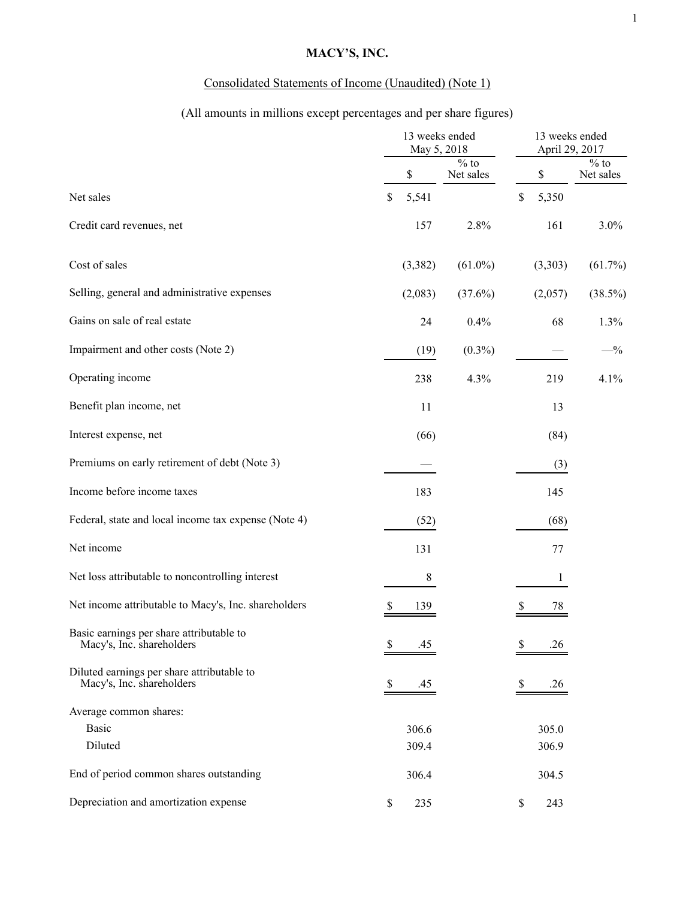# **MACY'S, INC.**

# Consolidated Statements of Income (Unaudited) (Note 1)

# (All amounts in millions except percentages and per share figures)

|                                                                         | 13 weeks ended<br>May 5, 2018 |         |                                      | 13 weeks ended<br>April 29, 2017 |         |                               |
|-------------------------------------------------------------------------|-------------------------------|---------|--------------------------------------|----------------------------------|---------|-------------------------------|
|                                                                         |                               | \$      | $\frac{1}{\sqrt{6}}$ to<br>Net sales |                                  | \$      | $\frac{0}{6}$ to<br>Net sales |
| Net sales                                                               | \$                            | 5,541   |                                      | $\mathbb S$                      | 5,350   |                               |
| Credit card revenues, net                                               |                               | 157     | 2.8%                                 |                                  | 161     | 3.0%                          |
| Cost of sales                                                           |                               | (3,382) | $(61.0\%)$                           |                                  | (3,303) | $(61.7\%)$                    |
| Selling, general and administrative expenses                            |                               | (2,083) | $(37.6\%)$                           |                                  | (2,057) | $(38.5\%)$                    |
| Gains on sale of real estate                                            |                               | 24      | 0.4%                                 |                                  | 68      | 1.3%                          |
| Impairment and other costs (Note 2)                                     |                               | (19)    | $(0.3\%)$                            |                                  |         | $- \frac{0}{6}$               |
| Operating income                                                        |                               | 238     | 4.3%                                 |                                  | 219     | 4.1%                          |
| Benefit plan income, net                                                |                               | 11      |                                      |                                  | 13      |                               |
| Interest expense, net                                                   |                               | (66)    |                                      |                                  | (84)    |                               |
| Premiums on early retirement of debt (Note 3)                           |                               |         |                                      |                                  | (3)     |                               |
| Income before income taxes                                              |                               | 183     |                                      |                                  | 145     |                               |
| Federal, state and local income tax expense (Note 4)                    |                               | (52)    |                                      |                                  | (68)    |                               |
| Net income                                                              |                               | 131     |                                      |                                  | 77      |                               |
| Net loss attributable to noncontrolling interest                        |                               | $\,8\,$ |                                      |                                  | 1       |                               |
| Net income attributable to Macy's, Inc. shareholders                    |                               | 139     |                                      |                                  | 78      |                               |
| Basic earnings per share attributable to<br>Macy's, Inc. shareholders   | \$                            | .45     |                                      | S                                | .26     |                               |
| Diluted earnings per share attributable to<br>Macy's, Inc. shareholders | \$                            | .45     |                                      | P.                               | .26     |                               |
| Average common shares:                                                  |                               |         |                                      |                                  |         |                               |
| <b>Basic</b>                                                            |                               | 306.6   |                                      |                                  | 305.0   |                               |
| Diluted                                                                 |                               | 309.4   |                                      |                                  | 306.9   |                               |
| End of period common shares outstanding                                 |                               | 306.4   |                                      |                                  | 304.5   |                               |
| Depreciation and amortization expense                                   | \$                            | 235     |                                      | \$                               | 243     |                               |